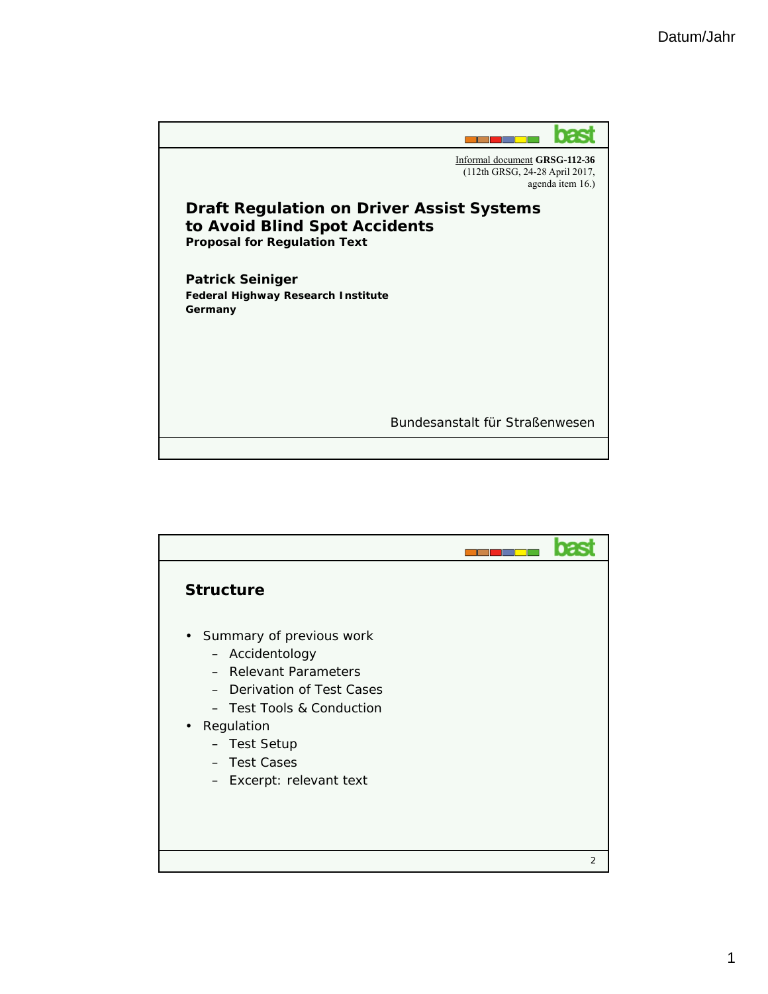

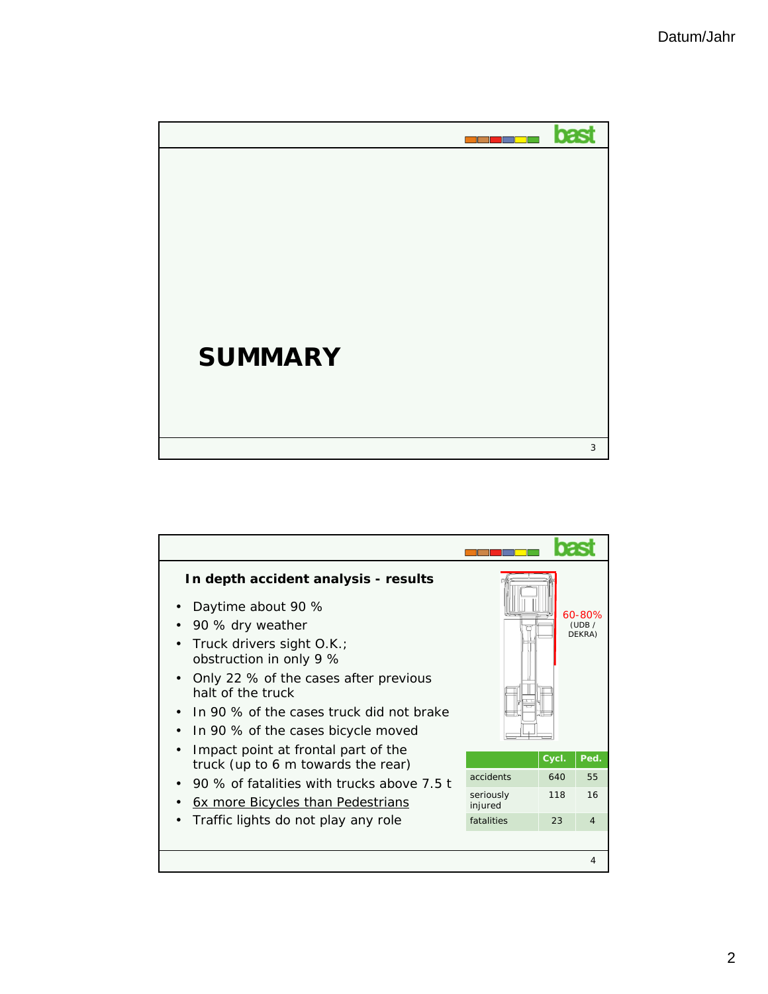

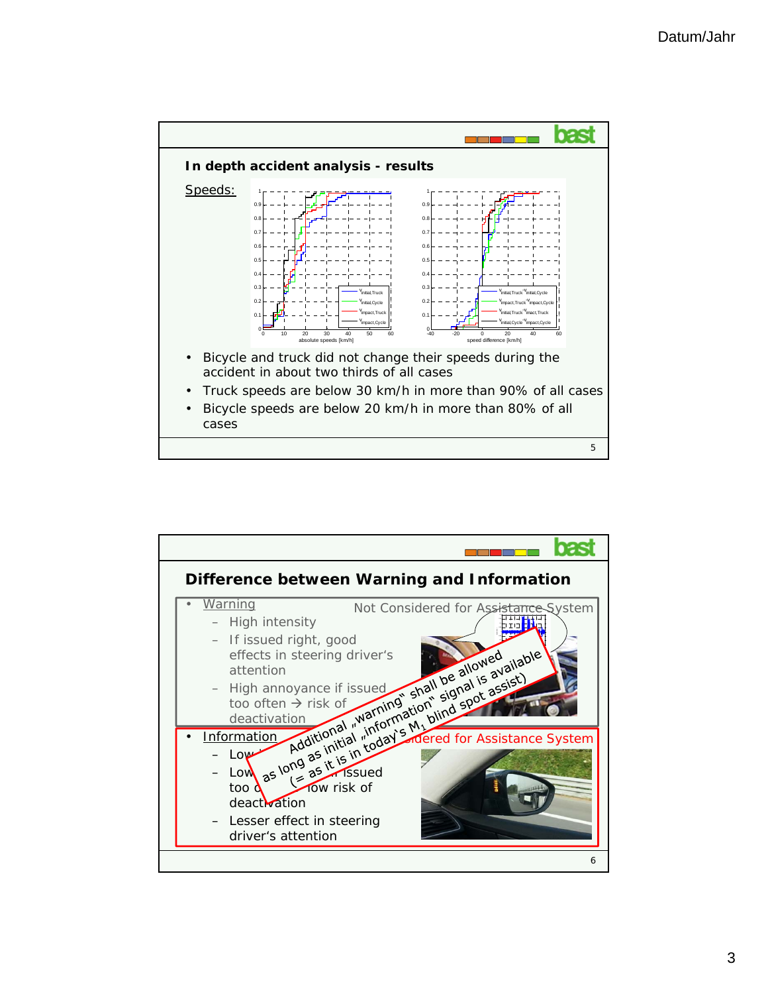

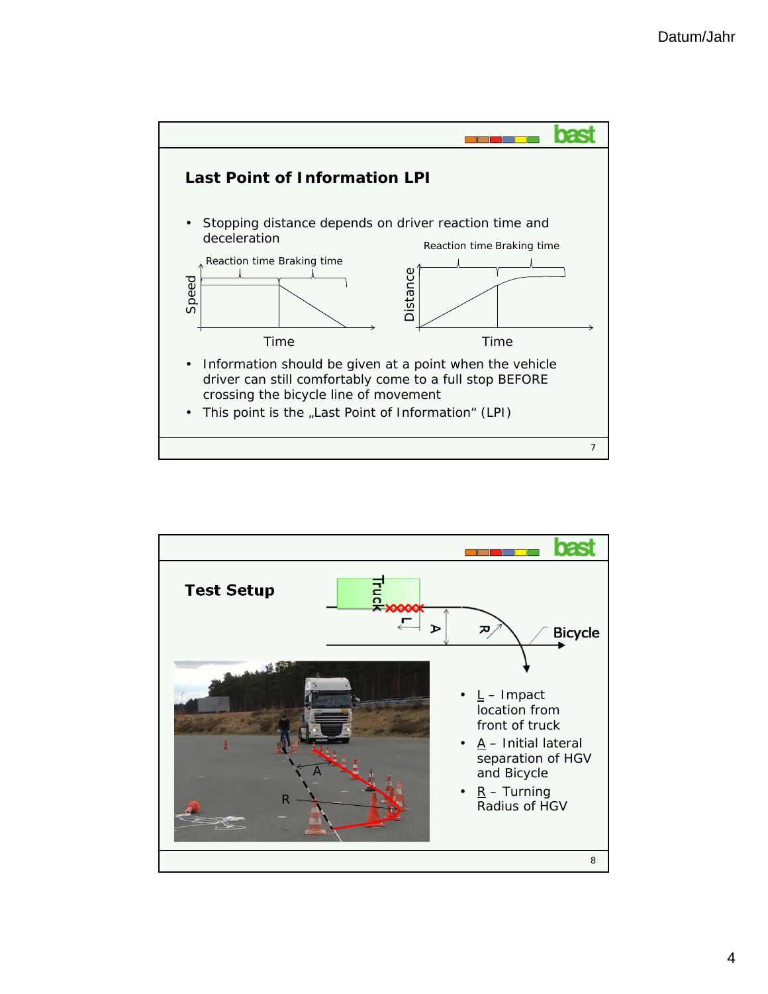

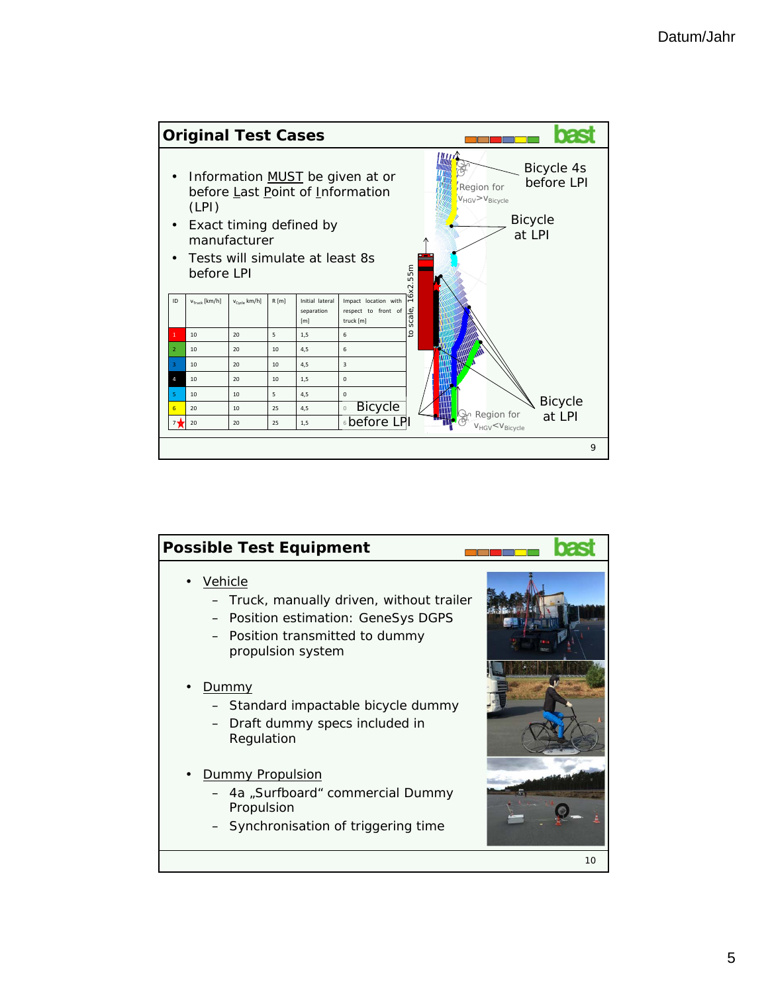

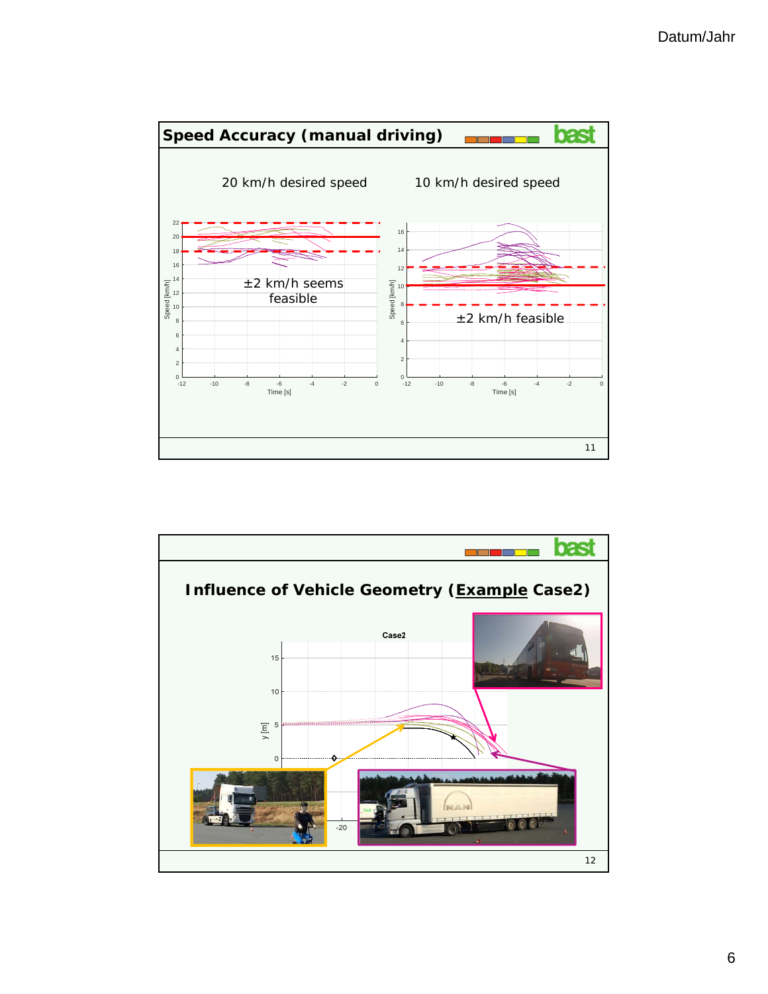

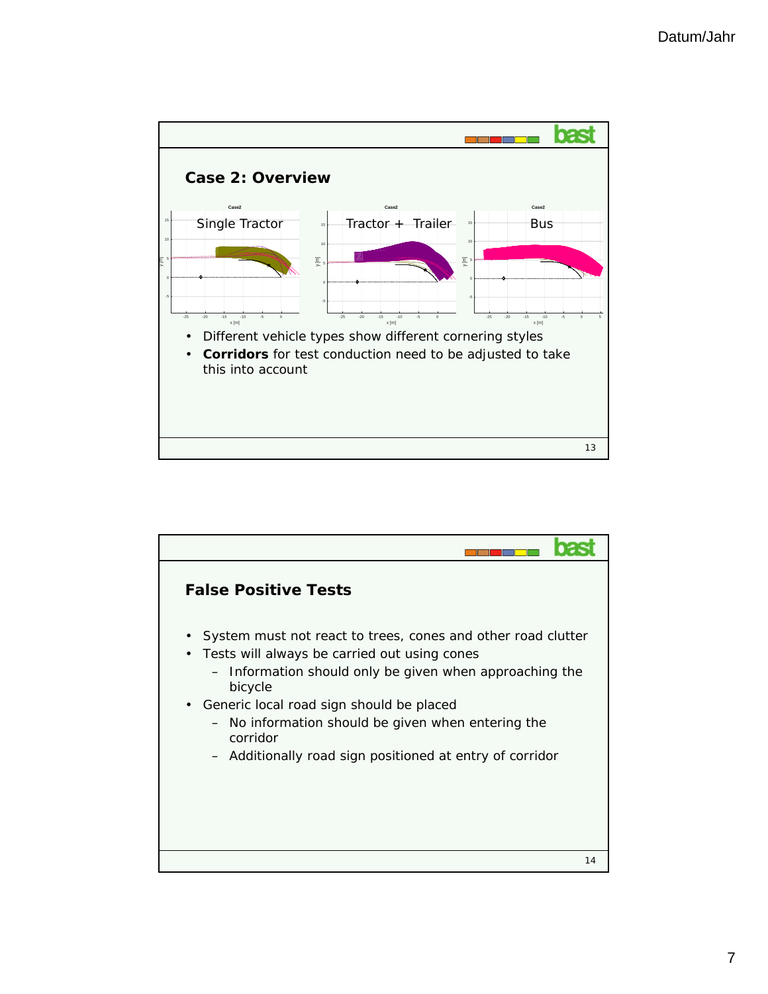

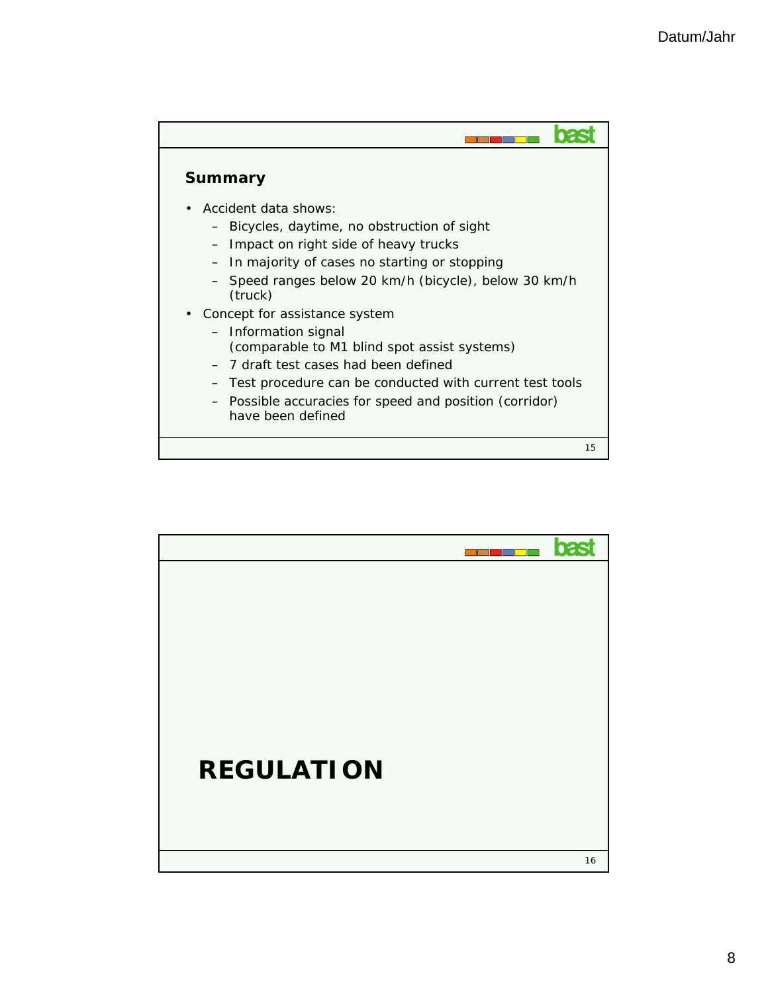

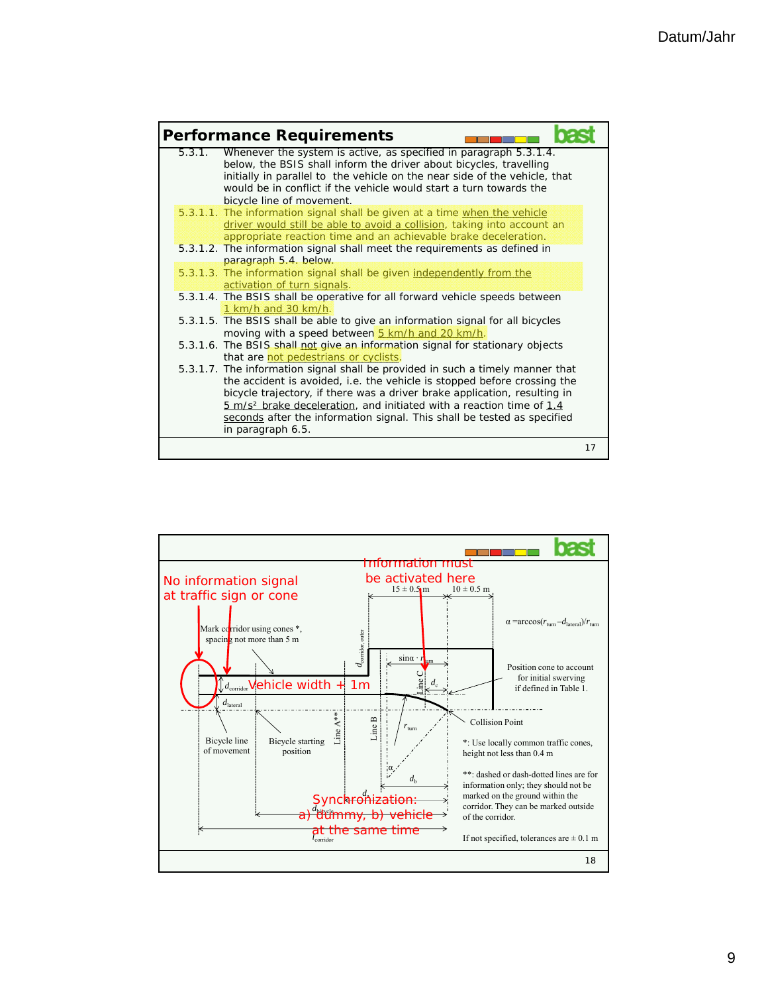

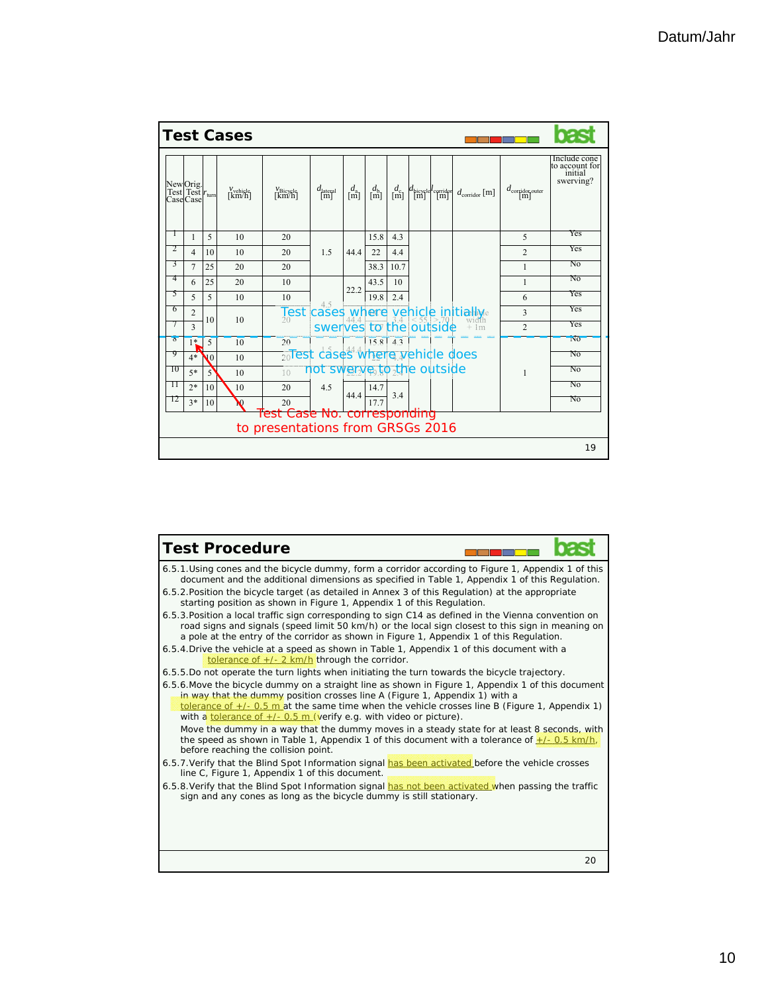|                                                      | <b>Test Cases</b> |                |                        |                                 |                                  |                                                              |                                                   |                                                |                                            |                                            |                |                                      |                             |                                                        |  |
|------------------------------------------------------|-------------------|----------------|------------------------|---------------------------------|----------------------------------|--------------------------------------------------------------|---------------------------------------------------|------------------------------------------------|--------------------------------------------|--------------------------------------------|----------------|--------------------------------------|-----------------------------|--------------------------------------------------------|--|
| New Orig.<br>Test Test r <sub>tum</sub><br>Case Case |                   |                |                        | $\chi^{\rm vehicle}_{\rm km/h}$ | $\chi^{\nu}$ Bicycle             | $d_{\text{lateral}}$                                         | $\begin{bmatrix} d_{\text{a}} \\ m \end{bmatrix}$ | $\begin{bmatrix} d_{\rm b} \\ m \end{bmatrix}$ | $\begin{bmatrix} d_{c} \\ m \end{bmatrix}$ | $d_{\text{bicycle}}$ $l_{\text{corridor}}$ |                | $d_{\text{corridor}}$ [m]            | $d_{\text{corridor outer}}$ | Include cone<br>to account for<br>initial<br>swerving? |  |
| $\perp$                                              |                   | 1              | 5                      | 10                              | 20                               |                                                              |                                                   | 15.8                                           | 4.3                                        |                                            |                |                                      | 5                           | Yes                                                    |  |
| 2                                                    |                   | $\overline{4}$ | 10                     | 10                              | 20                               | 1.5<br>4.5<br>cases where<br>swerves                         | 44.4                                              | 22                                             | 4.4                                        |                                            |                | yehiçle initiallye<br>width<br>$+1m$ | $\overline{c}$              | Yes                                                    |  |
| 3                                                    |                   | $\overline{7}$ | 25                     | 20                              | 20                               |                                                              |                                                   | 38.3                                           | 10.7                                       |                                            |                |                                      | $\mathbf{1}$                | N <sub>0</sub>                                         |  |
| 4                                                    |                   | 6              | 25                     | 20                              | 10                               |                                                              |                                                   | 43.5                                           | 10                                         |                                            |                |                                      | 1                           | N <sub>0</sub>                                         |  |
| 5                                                    |                   | 5              | 5                      | 10                              | 10                               |                                                              | 22.2                                              | 19.8                                           | 2.4                                        |                                            |                |                                      | 6                           | Yes                                                    |  |
| 6                                                    |                   | 2              | 10                     | 10                              | $\frac{7}{20}$ st                |                                                              |                                                   |                                                |                                            |                                            | to the outside |                                      | 3                           | Yes                                                    |  |
|                                                      |                   | 3              |                        |                                 |                                  |                                                              |                                                   |                                                |                                            |                                            |                |                                      | $\overline{c}$              | Yes                                                    |  |
| $\delta$                                             |                   | $1*$           | 5                      | 10                              | 20                               |                                                              |                                                   | $158$ $43$                                     |                                            |                                            |                |                                      |                             | N <sub>0</sub>                                         |  |
| 9                                                    |                   | $4*$           | $\mathbf{V}^{\dagger}$ | 10                              |                                  | 20Test cases where yehicle does<br>not swerve to the outside |                                                   |                                                |                                            |                                            |                | 1                                    | N <sub>0</sub>              |                                                        |  |
| 10                                                   |                   | $5*$           | $\overline{5}$         | 10                              | 10                               |                                                              |                                                   |                                                |                                            |                                            |                |                                      | N <sub>0</sub>              |                                                        |  |
| 11                                                   |                   | $2*$           | 10                     | 10                              | 20                               | 4.5                                                          | 44.4                                              | 14.7                                           | 3.4                                        |                                            |                |                                      |                             | N <sub>0</sub>                                         |  |
| 12                                                   |                   | $3*$           | 10                     | <b>N</b>                        | 20                               |                                                              |                                                   | 17.7                                           |                                            |                                            |                |                                      |                             | N <sub>0</sub>                                         |  |
|                                                      |                   |                |                        |                                 | Test Case No. corresponding      |                                                              |                                                   |                                                |                                            |                                            |                |                                      |                             |                                                        |  |
|                                                      |                   |                |                        |                                 | to presentations from GRSGs 2016 |                                                              |                                                   |                                                |                                            |                                            |                |                                      |                             |                                                        |  |
|                                                      |                   |                |                        |                                 |                                  |                                                              |                                                   |                                                |                                            |                                            |                |                                      |                             | 19                                                     |  |